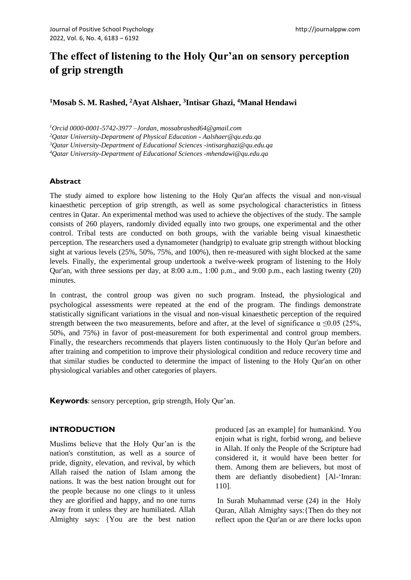# **The effect of listening to the Holy Qur'an on sensory perception of grip strength**

# **<sup>1</sup>Mosab S. M. Rashed, <sup>2</sup>Ayat Alshaer, <sup>3</sup> Intisar Ghazi, <sup>4</sup>Manal Hendawi**

*<sup>1</sup>Orcid 0000-0001-5742-3977 –Jordan, mossabrashed64@gmail.com* 

*<sup>2</sup>Qatar University-Department of Physical Education - Aalshaer@qu.edu.qa*

*<sup>3</sup>Qatar University-Department of Educational Sciences -intisarghazi@qu.edu.qa*

*<sup>4</sup>Qatar University-Department of Educational Sciences -mhendawi@qu.edu.qa*

## **Abstract**

The study aimed to explore how listening to the Holy Qur'an affects the visual and non-visual kinaesthetic perception of grip strength, as well as some psychological characteristics in fitness centres in Qatar. An experimental method was used to achieve the objectives of the study. The sample consists of 260 players, randomly divided equally into two groups, one experimental and the other control. Tribal tests are conducted on both groups, with the variable being visual kinaesthetic perception. The researchers used a dynamometer (handgrip) to evaluate grip strength without blocking sight at various levels (25%, 50%, 75%, and 100%), then re-measured with sight blocked at the same levels. Finally, the experimental group undertook a twelve-week program of listening to the Holy Qur'an, with three sessions per day, at 8:00 a.m., 1:00 p.m., and 9:00 p.m., each lasting twenty (20) minutes.

In contrast, the control group was given no such program. Instead, the physiological and psychological assessments were repeated at the end of the program. The findings demonstrate statistically significant variations in the visual and non-visual kinaesthetic perception of the required strength between the two measurements, before and after, at the level of significance  $\alpha \leq 0.05$  (25%, 50%, and 75%) in favor of post-measurement for both experimental and control group members. Finally, the researchers recommends that players listen continuously to the Holy Qur'an before and after training and competition to improve their physiological condition and reduce recovery time and that similar studies be conducted to determine the impact of listening to the Holy Qur'an on other physiological variables and other categories of players.

**Keywords**: sensory perception, grip strength, Holy Qur'an.

## **INTRODUCTION**

Muslims believe that the Holy Qur'an is the nation's constitution, as well as a source of pride, dignity, elevation, and revival, by which Allah raised the nation of Islam among the nations. It was the best nation brought out for the people because no one clings to it unless they are glorified and happy, and no one turns away from it unless they are humiliated. Allah Almighty says: {You are the best nation produced [as an example] for humankind. You enjoin what is right, forbid wrong, and believe in Allah. If only the People of the Scripture had considered it, it would have been better for them. Among them are believers, but most of them are defiantly disobedient} [Al-'Imran: 110].

In Surah Muhammad verse (24) in the Holy Quran, Allah Almighty says:{Then do they not reflect upon the Qur'an or are there locks upon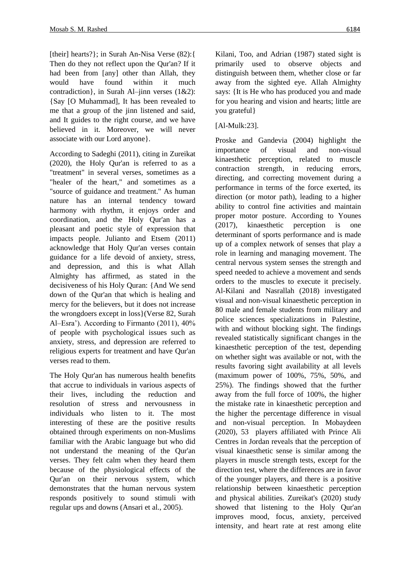[their] hearts?}; in Surah An-Nisa Verse (82):{ Then do they not reflect upon the Qur'an? If it had been from [any] other than Allah, they would have found within it much contradiction}, in Surah Al–jinn verses (1&2): {Say [O Muhammad], It has been revealed to me that a group of the jinn listened and said, and It guides to the right course, and we have believed in it. Moreover, we will never associate with our Lord anyone}.

According to Sadeghi (2011), citing in Zureikat (2020), the Holy Qur'an is referred to as a "treatment" in several verses, sometimes as a "healer of the heart," and sometimes as a "source of guidance and treatment." As human nature has an internal tendency toward harmony with rhythm, it enjoys order and coordination, and the Holy Qur'an has a pleasant and poetic style of expression that impacts people. Julianto and Etsem (2011) acknowledge that Holy Qur'an verses contain guidance for a life devoid of anxiety, stress, and depression, and this is what Allah Almighty has affirmed, as stated in the decisiveness of his Holy Quran: {And We send down of the Qur'an that which is healing and mercy for the believers, but it does not increase the wrongdoers except in loss}(Verse 82, Surah Al–Esra'). According to Firmanto (2011), 40% of people with psychological issues such as anxiety, stress, and depression are referred to religious experts for treatment and have Qur'an verses read to them.

The Holy Qur'an has numerous health benefits that accrue to individuals in various aspects of their lives, including the reduction and resolution of stress and nervousness in individuals who listen to it. The most interesting of these are the positive results obtained through experiments on non-Muslims familiar with the Arabic language but who did not understand the meaning of the Qur'an verses. They felt calm when they heard them because of the physiological effects of the Qur'an on their nervous system, which demonstrates that the human nervous system responds positively to sound stimuli with regular ups and downs (Ansari et al., 2005).

Kilani, Too, and Adrian (1987) stated sight is primarily used to observe objects and distinguish between them, whether close or far away from the sighted eye. Allah Almighty says: {It is He who has produced you and made for you hearing and vision and hearts; little are you grateful}

## [Al-Mulk:23].

Proske and Gandevia (2004) highlight the importance of visual and non-visual kinaesthetic perception, related to muscle contraction strength, in reducing errors, directing, and correcting movement during a performance in terms of the force exerted, its direction (or motor path), leading to a higher ability to control fine activities and maintain proper motor posture. According to Younes (2017), kinaesthetic perception is one determinant of sports performance and is made up of a complex network of senses that play a role in learning and managing movement. The central nervous system senses the strength and speed needed to achieve a movement and sends orders to the muscles to execute it precisely. Al-Kilani and Nasrallah (2018) investigated visual and non-visual kinaesthetic perception in 80 male and female students from military and police sciences specializations in Palestine, with and without blocking sight. The findings revealed statistically significant changes in the kinaesthetic perception of the test, depending on whether sight was available or not, with the results favoring sight availability at all levels (maximum power of 100%, 75%, 50%, and 25%). The findings showed that the further away from the full force of 100%, the higher the mistake rate in kinaesthetic perception and the higher the percentage difference in visual and non-visual perception. In Mobaydeen (2020), 53 players affiliated with Prince Ali Centres in Jordan reveals that the perception of visual kinaesthetic sense is similar among the players in muscle strength tests, except for the direction test, where the differences are in favor of the younger players, and there is a positive relationship between kinaesthetic perception and physical abilities. Zureikat's (2020) study showed that listening to the Holy Qur'an improves mood, focus, anxiety, perceived intensity, and heart rate at rest among elite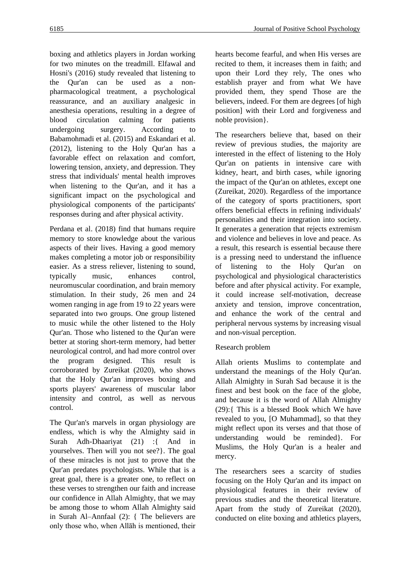boxing and athletics players in Jordan working for two minutes on the treadmill. Elfawal and Hosni's (2016) study revealed that listening to the Qur'an can be used as a nonpharmacological treatment, a psychological reassurance, and an auxiliary analgesic in anesthesia operations, resulting in a degree of blood circulation calming for patients undergoing surgery. According to Babamohmadi et al. (2015) and Eskandari et al. (2012), listening to the Holy Qur'an has a favorable effect on relaxation and comfort, lowering tension, anxiety, and depression. They stress that individuals' mental health improves when listening to the Qur'an, and it has a significant impact on the psychological and physiological components of the participants' responses during and after physical activity.

Perdana et al. (2018) find that humans require memory to store knowledge about the various aspects of their lives. Having a good memory makes completing a motor job or responsibility easier. As a stress reliever, listening to sound, typically music, enhances control, neuromuscular coordination, and brain memory stimulation. In their study, 26 men and 24 women ranging in age from 19 to 22 years were separated into two groups. One group listened to music while the other listened to the Holy Qur'an. Those who listened to the Qur'an were better at storing short-term memory, had better neurological control, and had more control over the program designed. This result is corroborated by Zureikat (2020), who shows that the Holy Qur'an improves boxing and sports players' awareness of muscular labor intensity and control, as well as nervous control.

The Qur'an's marvels in organ physiology are endless, which is why the Almighty said in Surah Adh-Dhaariyat (21) :{ And in yourselves. Then will you not see?}. The goal of these miracles is not just to prove that the Qur'an predates psychologists. While that is a great goal, there is a greater one, to reflect on these verses to strengthen our faith and increase our confidence in Allah Almighty, that we may be among those to whom Allah Almighty said in Surah Al–Annfaal (2): { The believers are only those who, when Allāh is mentioned, their hearts become fearful, and when His verses are recited to them, it increases them in faith; and upon their Lord they rely, The ones who establish prayer and from what We have provided them, they spend Those are the believers, indeed. For them are degrees [of high position] with their Lord and forgiveness and noble provision}.

The researchers believe that, based on their review of previous studies, the majority are interested in the effect of listening to the Holy Qur'an on patients in intensive care with kidney, heart, and birth cases, while ignoring the impact of the Qur'an on athletes, except one (Zureikat, 2020). Regardless of the importance of the category of sports practitioners, sport offers beneficial effects in refining individuals' personalities and their integration into society. It generates a generation that rejects extremism and violence and believes in love and peace. As a result, this research is essential because there is a pressing need to understand the influence of listening to the Holy Qur'an on psychological and physiological characteristics before and after physical activity. For example, it could increase self-motivation, decrease anxiety and tension, improve concentration, and enhance the work of the central and peripheral nervous systems by increasing visual and non-visual perception.

# Research problem

Allah orients Muslims to contemplate and understand the meanings of the Holy Qur'an. Allah Almighty in Surah Sad because it is the finest and best book on the face of the globe, and because it is the word of Allah Almighty (29):{ This is a blessed Book which We have revealed to you, [O Muhammad], so that they might reflect upon its verses and that those of understanding would be reminded}. For Muslims, the Holy Qur'an is a healer and mercy.

The researchers sees a scarcity of studies focusing on the Holy Qur'an and its impact on physiological features in their review of previous studies and the theoretical literature. Apart from the study of Zureikat (2020), conducted on elite boxing and athletics players,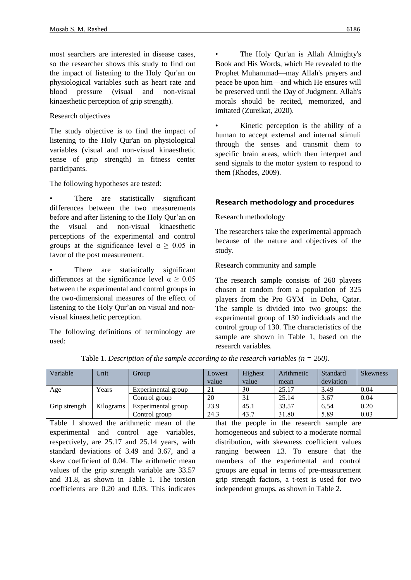most searchers are interested in disease cases, so the researcher shows this study to find out the impact of listening to the Holy Qur'an on physiological variables such as heart rate and blood pressure (visual and non-visual kinaesthetic perception of grip strength).

Research objectives

The study objective is to find the impact of listening to the Holy Qur'an on physiological variables (visual and non-visual kinaesthetic sense of grip strength) in fitness center participants.

The following hypotheses are tested:

There are statistically significant differences between the two measurements before and after listening to the Holy Qur'an on the visual and non-visual kinaesthetic perceptions of the experimental and control groups at the significance level  $\alpha > 0.05$  in favor of the post measurement.

There are statistically significant differences at the significance level  $\alpha \ge 0.05$ between the experimental and control groups in the two-dimensional measures of the effect of listening to the Holy Qur'an on visual and nonvisual kinaesthetic perception.

The following definitions of terminology are used:

The Holy Our'an is Allah Almighty's Book and His Words, which He revealed to the Prophet Muhammad—may Allah's prayers and peace be upon him—and which He ensures will be preserved until the Day of Judgment. Allah's morals should be recited, memorized, and imitated (Zureikat, 2020).

Kinetic perception is the ability of a human to accept external and internal stimuli through the senses and transmit them to specific brain areas, which then interpret and send signals to the motor system to respond to them (Rhodes, 2009).

## **Research methodology and procedures**

Research methodology

The researchers take the experimental approach because of the nature and objectives of the study.

Research community and sample

The research sample consists of 260 players chosen at random from a population of 325 players from the Pro GYM in Doha, Qatar. The sample is divided into two groups: the experimental group of 130 individuals and the control group of 130. The characteristics of the sample are shown in Table 1, based on the research variables.

| Variable      | Unit      | Group              | Lowest | Highest | Arithmetic | Standard  | <b>Skewness</b> |
|---------------|-----------|--------------------|--------|---------|------------|-----------|-----------------|
|               |           |                    | value  | value   | mean       | deviation |                 |
| Age           | Years     | Experimental group | 21     | 30      | 25.17      | 3.49      | 0.04            |
|               |           | Control group      | 20     | 31      | 25.14      | 3.67      | 0.04            |
| Grip strength | Kilograms | Experimental group | 23.9   | 45.1    | 33.57      | 6.54      | 0.20            |
|               |           | Control group      | 24.3   | 43.7    | 31.80      | 5.89      | 0.03            |

Table 1. *Description of the sample according to the research variables (n = 260).*

Table 1 showed the arithmetic mean of the experimental and control age variables, respectively, are 25.17 and 25.14 years, with standard deviations of 3.49 and 3.67, and a skew coefficient of 0.04. The arithmetic mean values of the grip strength variable are 33.57 and 31.8, as shown in Table 1. The torsion coefficients are 0.20 and 0.03. This indicates that the people in the research sample are homogeneous and subject to a moderate normal distribution, with skewness coefficient values ranging between  $\pm 3$ . To ensure that the members of the experimental and control groups are equal in terms of pre-measurement grip strength factors, a t-test is used for two independent groups, as shown in Table 2.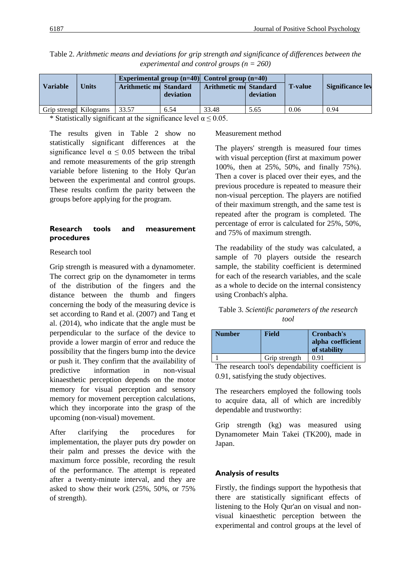| <b>Variable</b>        | Units | <b>Arithmetic me Standard</b> | deviation | Experimental group $(n=40)$ Control group $(n=40)$<br><b>Arithmetic md Standard</b> | deviation | <b>T</b> -value | <b>Significance lev</b> |
|------------------------|-------|-------------------------------|-----------|-------------------------------------------------------------------------------------|-----------|-----------------|-------------------------|
| Grip strengt Kilograms |       | 33.57                         | 6.54      | 33.48                                                                               | 5.65      | 0.06            | 0.94                    |

Table 2. *Arithmetic means and deviations for grip strength and significance of differences between the experimental and control groups (n = 260)*

\* Statistically significant at the significance level  $\alpha \le 0.05$ .

The results given in Table 2 show no statistically significant differences at the significance level  $\alpha \leq 0.05$  between the tribal and remote measurements of the grip strength variable before listening to the Holy Qur'an between the experimental and control groups. These results confirm the parity between the groups before applying for the program.

### **Research tools and measurement procedures**

#### Research tool

Grip strength is measured with a dynamometer. The correct grip on the dynamometer in terms of the distribution of the fingers and the distance between the thumb and fingers concerning the body of the measuring device is set according to Rand et al. (2007) and Tang et al. (2014), who indicate that the angle must be perpendicular to the surface of the device to provide a lower margin of error and reduce the possibility that the fingers bump into the device or push it. They confirm that the availability of predictive information in non-visual kinaesthetic perception depends on the motor memory for visual perception and sensory memory for movement perception calculations, which they incorporate into the grasp of the upcoming (non-visual) movement.

After clarifying the procedures for implementation, the player puts dry powder on their palm and presses the device with the maximum force possible, recording the result of the performance. The attempt is repeated after a twenty-minute interval, and they are asked to show their work (25%, 50%, or 75% of strength).

#### Measurement method

The players' strength is measured four times with visual perception (first at maximum power 100%, then at 25%, 50%, and finally 75%). Then a cover is placed over their eyes, and the previous procedure is repeated to measure their non-visual perception. The players are notified of their maximum strength, and the same test is repeated after the program is completed. The percentage of error is calculated for 25%, 50%, and 75% of maximum strength.

The readability of the study was calculated, a sample of 70 players outside the research sample, the stability coefficient is determined for each of the research variables, and the scale as a whole to decide on the internal consistency using Cronbach's alpha.

## Table 3. *Scientific parameters of the research tool*

| <b>Number</b> | Field         | Cronbach's<br>alpha coefficient<br>of stability |
|---------------|---------------|-------------------------------------------------|
|               | Grip strength | 0.91                                            |

The research tool's dependability coefficient is 0.91, satisfying the study objectives.

The researchers employed the following tools to acquire data, all of which are incredibly dependable and trustworthy:

Grip strength (kg) was measured using Dynamometer Main Takei (TK200), made in Japan.

## **Analysis of results**

Firstly, the findings support the hypothesis that there are statistically significant effects of listening to the Holy Qur'an on visual and nonvisual kinaesthetic perception between the experimental and control groups at the level of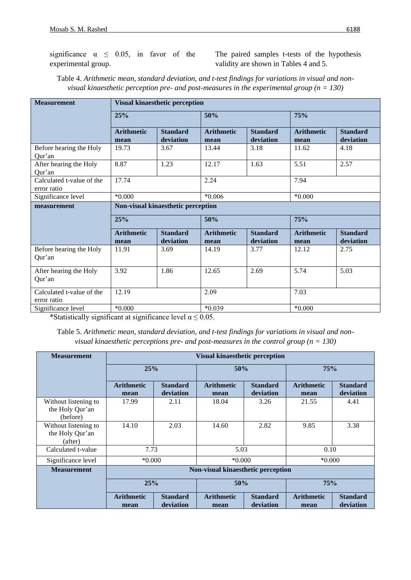significance  $\alpha \leq 0.05$ , in favor of the experimental group.

The paired samples t-tests of the hypothesis validity are shown in Tables 4 and 5.

| <b>Measurement</b>                                | <b>Visual kinaesthetic perception</b> |                              |                           |                              |                           |                              |  |  |
|---------------------------------------------------|---------------------------------------|------------------------------|---------------------------|------------------------------|---------------------------|------------------------------|--|--|
|                                                   | 25%                                   |                              | 50%                       |                              | 75%                       |                              |  |  |
|                                                   | <b>Arithmetic</b><br>mean             | <b>Standard</b><br>deviation | <b>Arithmetic</b><br>mean | <b>Standard</b><br>deviation | <b>Arithmetic</b><br>mean | <b>Standard</b><br>deviation |  |  |
| Before hearing the Holy<br>Our'an                 | 19.73                                 | 3.67                         | 13.44                     | 3.18                         | 11.62                     | 4.18                         |  |  |
| After hearing the Holy<br>Our'an                  | 8.87                                  | 1.23                         | 12.17                     | 1.63                         | 5.51                      | 2.57                         |  |  |
| Calculated t-value of the<br>error ratio          | 17.74                                 |                              | 2.24                      |                              | 7.94                      |                              |  |  |
| Significance level                                | $*0.000$                              |                              | $*0.006$                  |                              | $*0.000$                  |                              |  |  |
| measurement                                       | Non-visual kinaesthetic perception    |                              |                           |                              |                           |                              |  |  |
|                                                   | 25%                                   |                              | 50%                       |                              | 75%                       |                              |  |  |
|                                                   | <b>Arithmetic</b><br>mean             | <b>Standard</b><br>deviation | <b>Arithmetic</b><br>mean | <b>Standard</b><br>deviation | <b>Arithmetic</b><br>mean | <b>Standard</b><br>deviation |  |  |
| Before hearing the Holy<br>Qur'an                 | 11.91                                 | 3.69                         | 14.19                     | 3.77                         | 12.12                     | 2.75                         |  |  |
| After hearing the Holy<br>Qur'an                  | 3.92                                  | 1.86                         | 12.65                     | 2.69                         | 5.74                      | 5.03                         |  |  |
| 12.19<br>Calculated t-value of the<br>error ratio |                                       | 2.09                         |                           | 7.03                         |                           |                              |  |  |
| Significance level                                | $*0.000*$                             |                              |                           | $*0.039$                     |                           | $*0.000$                     |  |  |

Table 4. *Arithmetic mean, standard deviation, and t-test findings for variations in visual and nonvisual kinaesthetic perception pre- and post-measures in the experimental group (n = 130)*

\*Statistically significant at significance level  $\alpha \le 0.05$ .

Table 5. *Arithmetic mean, standard deviation, and t-test findings for variations in visual and nonvisual kinaesthetic perceptions pre- and post-measures in the control group (n = 130)*

| <b>Measurement</b>                                  | <b>Visual kinaesthetic perception</b> |                              |                           |                              |                           |                              |  |
|-----------------------------------------------------|---------------------------------------|------------------------------|---------------------------|------------------------------|---------------------------|------------------------------|--|
|                                                     | 25%                                   |                              | 50%                       |                              | 75%                       |                              |  |
|                                                     | <b>Arithmetic</b><br>mean             | <b>Standard</b><br>deviation | <b>Arithmetic</b><br>mean | <b>Standard</b><br>deviation | <b>Arithmetic</b><br>mean | <b>Standard</b><br>deviation |  |
| Without listening to<br>the Holy Qur'an<br>(before) | 17.99                                 | 2.11                         | 18.04                     | 3.26                         | 21.55                     | 4.41                         |  |
| Without listening to<br>the Holy Qur'an<br>(after)  | 14.10                                 | 2.03                         | 14.60                     | 2.82                         | 9.85                      | 3.38                         |  |
| Calculated t-value                                  | 7.73                                  |                              | 5.03                      |                              | 0.10                      |                              |  |
| Significance level                                  | $*0.000$                              |                              | $*0.000$                  |                              | $*0.000*$                 |                              |  |
| <b>Measurement</b>                                  | Non-visual kinaesthetic perception    |                              |                           |                              |                           |                              |  |
|                                                     | 25%                                   |                              | 50%                       |                              | 75%                       |                              |  |
|                                                     | <b>Arithmetic</b><br>mean             | <b>Standard</b><br>deviation | <b>Arithmetic</b><br>mean | <b>Standard</b><br>deviation | <b>Arithmetic</b><br>mean | <b>Standard</b><br>deviation |  |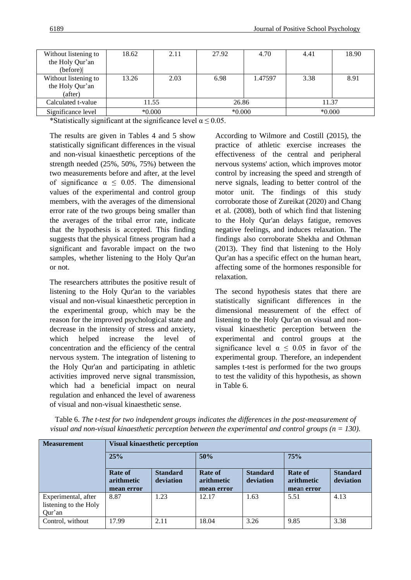| Without listening to<br>the Holy Qur'an            | 18.62    | 2.11 | 27.92    | 4.70    | 4.41     | 18.90 |
|----------------------------------------------------|----------|------|----------|---------|----------|-------|
| (before)                                           |          |      |          |         |          |       |
| Without listening to<br>the Holy Qur'an<br>(after) | 13.26    | 2.03 | 6.98     | 1.47597 | 3.38     | 8.91  |
| Calculated t-value                                 | 11.55    |      | 26.86    |         | 11.37    |       |
| Significance level                                 | $*0.000$ |      | $*0.000$ |         | $*0.000$ |       |

\*Statistically significant at the significance level  $\alpha \le 0.05$ .

The results are given in Tables 4 and 5 show statistically significant differences in the visual and non-visual kinaesthetic perceptions of the strength needed (25%, 50%, 75%) between the two measurements before and after, at the level of significance  $\alpha \leq 0.05$ . The dimensional values of the experimental and control group members, with the averages of the dimensional error rate of the two groups being smaller than the averages of the tribal error rate, indicate that the hypothesis is accepted. This finding suggests that the physical fitness program had a significant and favorable impact on the two samples, whether listening to the Holy Qur'an or not.

The researchers attributes the positive result of listening to the Holy Qur'an to the variables visual and non-visual kinaesthetic perception in the experimental group, which may be the reason for the improved psychological state and decrease in the intensity of stress and anxiety, which helped increase the level of concentration and the efficiency of the central nervous system. The integration of listening to the Holy Qur'an and participating in athletic activities improved nerve signal transmission, which had a beneficial impact on neural regulation and enhanced the level of awareness of visual and non-visual kinaesthetic sense.

According to Wilmore and Costill (2015), the practice of athletic exercise increases the effectiveness of the central and peripheral nervous systems' action, which improves motor control by increasing the speed and strength of nerve signals, leading to better control of the motor unit. The findings of this study corroborate those of Zureikat (2020) and Chang et al. (2008), both of which find that listening to the Holy Qur'an delays fatigue, removes negative feelings, and induces relaxation. The findings also corroborate Shekha and Othman (2013). They find that listening to the Holy Qur'an has a specific effect on the human heart, affecting some of the hormones responsible for relaxation.

The second hypothesis states that there are statistically significant differences in the dimensional measurement of the effect of listening to the Holy Qur'an on visual and nonvisual kinaesthetic perception between the experimental and control groups at the significance level  $\alpha \leq 0.05$  in favor of the experimental group. Therefore, an independent samples t-test is performed for the two groups to test the validity of this hypothesis, as shown in Table 6.

| <b>Measurement</b>                                     | <b>Visual kinaesthetic perception</b> |                              |                                     |                              |                                            |                              |  |  |
|--------------------------------------------------------|---------------------------------------|------------------------------|-------------------------------------|------------------------------|--------------------------------------------|------------------------------|--|--|
|                                                        | 25%                                   |                              | 50%                                 |                              | 75%                                        |                              |  |  |
|                                                        | Rate of<br>arithmetic<br>mean error   | <b>Standard</b><br>deviation | Rate of<br>arithmetic<br>mean error | <b>Standard</b><br>deviation | <b>Rate of</b><br>arithmetic<br>mean error | <b>Standard</b><br>deviation |  |  |
| Experimental, after<br>listening to the Holy<br>Qur'an | 8.87                                  | 1.23                         | 12.17                               | 1.63                         | 5.51                                       | 4.13                         |  |  |
| Control, without                                       | 17.99                                 | 2.11                         | 18.04                               | 3.26                         | 9.85                                       | 3.38                         |  |  |

Table 6. *The t-test for two independent groups indicates the differences in the post-measurement of visual and non-visual kinaesthetic perception between the experimental and control groups (n = 130).*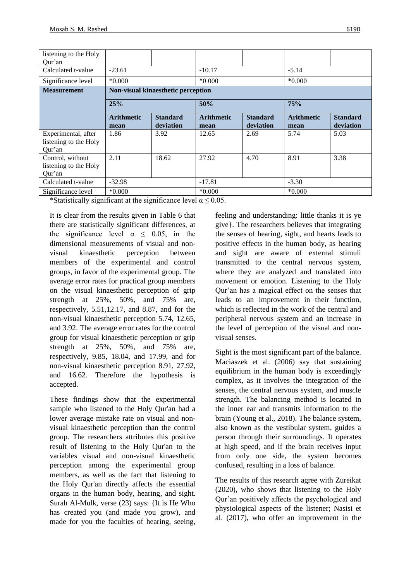| listening to the Holy                                  |                           |                                    |                           |                              |                           |                              |  |
|--------------------------------------------------------|---------------------------|------------------------------------|---------------------------|------------------------------|---------------------------|------------------------------|--|
| Our'an                                                 |                           |                                    |                           |                              |                           |                              |  |
| Calculated t-value                                     | $-23.61$                  |                                    |                           |                              | $-5.14$                   |                              |  |
| Significance level                                     | $*0.000*$                 |                                    | $*0.000$                  |                              | $*0.000$                  |                              |  |
| <b>Measurement</b>                                     |                           | Non-visual kinaesthetic perception |                           |                              |                           |                              |  |
|                                                        | 25%                       |                                    | 50%                       |                              | 75%                       |                              |  |
|                                                        | <b>Arithmetic</b><br>mean | <b>Standard</b><br>deviation       | <b>Arithmetic</b><br>mean | <b>Standard</b><br>deviation | <b>Arithmetic</b><br>mean | <b>Standard</b><br>deviation |  |
| Experimental, after<br>listening to the Holy<br>Qur'an | 1.86                      | 3.92                               | 12.65                     | 2.69                         | 5.74                      | 5.03                         |  |
| Control, without<br>listening to the Holy<br>Qur'an    | 2.11                      | 18.62                              | 27.92                     | 4.70                         | 8.91                      | 3.38                         |  |
| Calculated t-value                                     | $-32.98$                  |                                    | $-17.81$                  |                              | $-3.30$                   |                              |  |
| Significance level                                     | $*0.000$                  |                                    |                           | $*0.000$                     |                           | $*0.000$                     |  |

\*Statistically significant at the significance level  $\alpha \le 0.05$ .

It is clear from the results given in Table 6 that there are statistically significant differences, at the significance level  $\alpha \leq 0.05$ , in the dimensional measurements of visual and nonvisual kinaesthetic perception between members of the experimental and control groups, in favor of the experimental group. The average error rates for practical group members on the visual kinaesthetic perception of grip strength at 25%, 50%, and 75% are, respectively, 5.51,12.17, and 8.87, and for the non-visual kinaesthetic perception 5.74, 12.65, and 3.92. The average error rates for the control group for visual kinaesthetic perception or grip strength at 25%, 50%, and 75% are, respectively, 9.85, 18.04, and 17.99, and for non-visual kinaesthetic perception 8.91, 27.92, and 16.62. Therefore the hypothesis is accepted.

These findings show that the experimental sample who listened to the Holy Qur'an had a lower average mistake rate on visual and nonvisual kinaesthetic perception than the control group. The researchers attributes this positive result of listening to the Holy Qur'an to the variables visual and non-visual kinaesthetic perception among the experimental group members, as well as the fact that listening to the Holy Qur'an directly affects the essential organs in the human body, hearing, and sight. Surah Al-Mulk, verse (23) says: {It is He Who has created you (and made you grow), and made for you the faculties of hearing, seeing,

feeling and understanding: little thanks it is ye give}. The researchers believes that integrating the senses of hearing, sight, and hearts leads to positive effects in the human body, as hearing and sight are aware of external stimuli transmitted to the central nervous system, where they are analyzed and translated into movement or emotion. Listening to the Holy Qur'an has a magical effect on the senses that leads to an improvement in their function, which is reflected in the work of the central and peripheral nervous system and an increase in the level of perception of the visual and nonvisual senses.

Sight is the most significant part of the balance. Maciaszek et al. (2006) say that sustaining equilibrium in the human body is exceedingly complex, as it involves the integration of the senses, the central nervous system, and muscle strength. The balancing method is located in the inner ear and transmits information to the brain (Young et al., 2018). The balance system, also known as the vestibular system, guides a person through their surroundings. It operates at high speed, and if the brain receives input from only one side, the system becomes confused, resulting in a loss of balance.

The results of this research agree with Zureikat (2020), who shows that listening to the Holy Qur'an positively affects the psychological and physiological aspects of the listener; Nasisi et al. (2017), who offer an improvement in the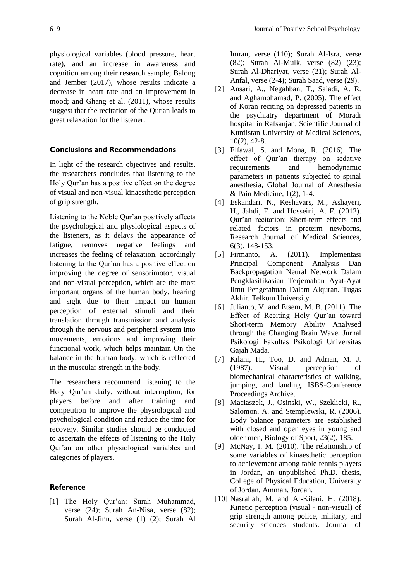physiological variables (blood pressure, heart rate), and an increase in awareness and cognition among their research sample; Balong and Jember (2017), whose results indicate a decrease in heart rate and an improvement in mood; and Ghang et al. (2011), whose results suggest that the recitation of the Qur'an leads to great relaxation for the listener.

### **Conclusions and Recommendations**

In light of the research objectives and results, the researchers concludes that listening to the Holy Qur'an has a positive effect on the degree of visual and non-visual kinaesthetic perception of grip strength.

Listening to the Noble Qur'an positively affects the psychological and physiological aspects of the listeners, as it delays the appearance of fatigue, removes negative feelings and increases the feeling of relaxation, accordingly listening to the Qur'an has a positive effect on improving the degree of sensorimotor, visual and non-visual perception, which are the most important organs of the human body, hearing and sight due to their impact on human perception of external stimuli and their translation through transmission and analysis through the nervous and peripheral system into movements, emotions and improving their functional work, which helps maintain On the balance in the human body, which is reflected in the muscular strength in the body.

The researchers recommend listening to the Holy Qur'an daily, without interruption, for players before and after training and competition to improve the physiological and psychological condition and reduce the time for recovery. Similar studies should be conducted to ascertain the effects of listening to the Holy Qur'an on other physiological variables and categories of players.

#### **Reference**

[1] The Holy Qur'an: Surah Muhammad, verse (24); Surah An-Nisa, verse (82); Surah Al-Jinn, verse (1) (2); Surah Al

Imran, verse (110); Surah Al-Isra, verse (82); Surah Al-Mulk, verse (82) (23); Surah Al-Dhariyat, verse (21); Surah Al-Anfal, verse (2-4); Surah Saad, verse (29).

- [2] Ansari, A., Negahban, T., Saiadi, A. R. and Aghamohamad, P. (2005). The effect of Koran reciting on depressed patients in the psychiatry department of Moradi hospital in Rafsanjan, Scientific Journal of Kurdistan University of Medical Sciences, 10(2), 42-8.
- [3] Elfawal, S. and Mona, R. (2016). The effect of Qur'an therapy on sedative requirements and hemodynamic parameters in patients subjected to spinal anesthesia, Global Journal of Anesthesia & Pain Medicine, 1(2), 1-4.
- [4] Eskandari, N., Keshavars, M., Ashayeri, H., Jahdi, F. and Hosseini, A. F. (2012). Qur'an recitation: Short-term effects and related factors in preterm newborns, Research Journal of Medical Sciences, 6(3), 148-153.
- [5] Firmanto, A. (2011). Implementasi Principal Component Analysis Dan Backpropagation Neural Network Dalam Pengklasifikasian Terjemahan Ayat-Ayat Ilmu Pengetahuan Dalam Alquran. Tugas Akhir. Telkom University.
- [6] Julianto, V. and Etsem, M. B. (2011). The Effect of Reciting Holy Qur'an toward Short-term Memory Ability Analysed through the Changing Brain Wave. Jurnal Psikologi Fakultas Psikologi Universitas Gajah Mada.
- [7] Kilani, H., Too, D. and Adrian, M. J. (1987). Visual perception of biomechanical characteristics of walking, jumping, and landing. ISBS-Conference Proceedings Archive.
- [8] Maciaszek, J., Osinski, W., Szeklicki, R., Salomon, A. and Stemplewski, R. (2006). Body balance parameters are established with closed and open eyes in young and older men, Biology of Sport, 23(2), 185.
- [9] McNay, I. M. (2010). The relationship of some variables of kinaesthetic perception to achievement among table tennis players in Jordan, an unpublished Ph.D. thesis, College of Physical Education, University of Jordan, Amman, Jordan.
- [10] Nasrallah, M. and Al-Kilani, H. (2018). Kinetic perception (visual - non-visual) of grip strength among police, military, and security sciences students. Journal of